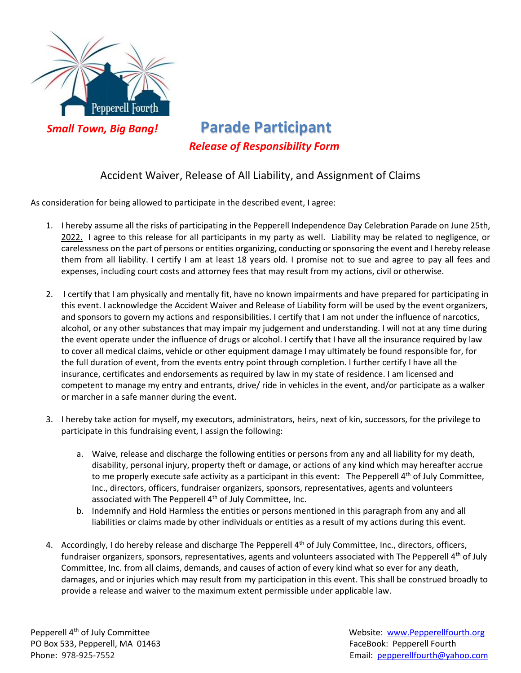

 *Small Town, Big Bang!* **Parade Participant**  *Release of Responsibility Form*

## Accident Waiver, Release of All Liability, and Assignment of Claims

As consideration for being allowed to participate in the described event, I agree:

- 1. I hereby assume all the risks of participating in the Pepperell Independence Day Celebration Parade on June 25th, 2022. I agree to this release for all participants in my party as well. Liability may be related to negligence, or carelessness on the part of persons or entities organizing, conducting or sponsoring the event and I hereby release them from all liability. I certify I am at least 18 years old. I promise not to sue and agree to pay all fees and expenses, including court costs and attorney fees that may result from my actions, civil or otherwise.
- 2. I certify that I am physically and mentally fit, have no known impairments and have prepared for participating in this event. I acknowledge the Accident Waiver and Release of Liability form will be used by the event organizers, and sponsors to govern my actions and responsibilities. I certify that I am not under the influence of narcotics, alcohol, or any other substances that may impair my judgement and understanding. I will not at any time during the event operate under the influence of drugs or alcohol. I certify that I have all the insurance required by law to cover all medical claims, vehicle or other equipment damage I may ultimately be found responsible for, for the full duration of event, from the events entry point through completion. I further certify I have all the insurance, certificates and endorsements as required by law in my state of residence. I am licensed and competent to manage my entry and entrants, drive/ ride in vehicles in the event, and/or participate as a walker or marcher in a safe manner during the event.
- 3. I hereby take action for myself, my executors, administrators, heirs, next of kin, successors, for the privilege to participate in this fundraising event, I assign the following:
	- a. Waive, release and discharge the following entities or persons from any and all liability for my death, disability, personal injury, property theft or damage, or actions of any kind which may hereafter accrue to me properly execute safe activity as a participant in this event: The Pepperell 4<sup>th</sup> of July Committee, Inc., directors, officers, fundraiser organizers, sponsors, representatives, agents and volunteers associated with The Pepperell  $4<sup>th</sup>$  of July Committee, Inc.
	- b. Indemnify and Hold Harmless the entities or persons mentioned in this paragraph from any and all liabilities or claims made by other individuals or entities as a result of my actions during this event.
- 4. Accordingly, I do hereby release and discharge The Pepperell 4<sup>th</sup> of July Committee, Inc., directors, officers, fundraiser organizers, sponsors, representatives, agents and volunteers associated with The Pepperell 4<sup>th</sup> of July Committee, Inc. from all claims, demands, and causes of action of every kind what so ever for any death, damages, and or injuries which may result from my participation in this event. This shall be construed broadly to provide a release and waiver to the maximum extent permissible under applicable law.

Pepperell 4<sup>th</sup> of July Committee PO Box 533, Pepperell, MA 01463 FaceBook: Pepperell Fourth